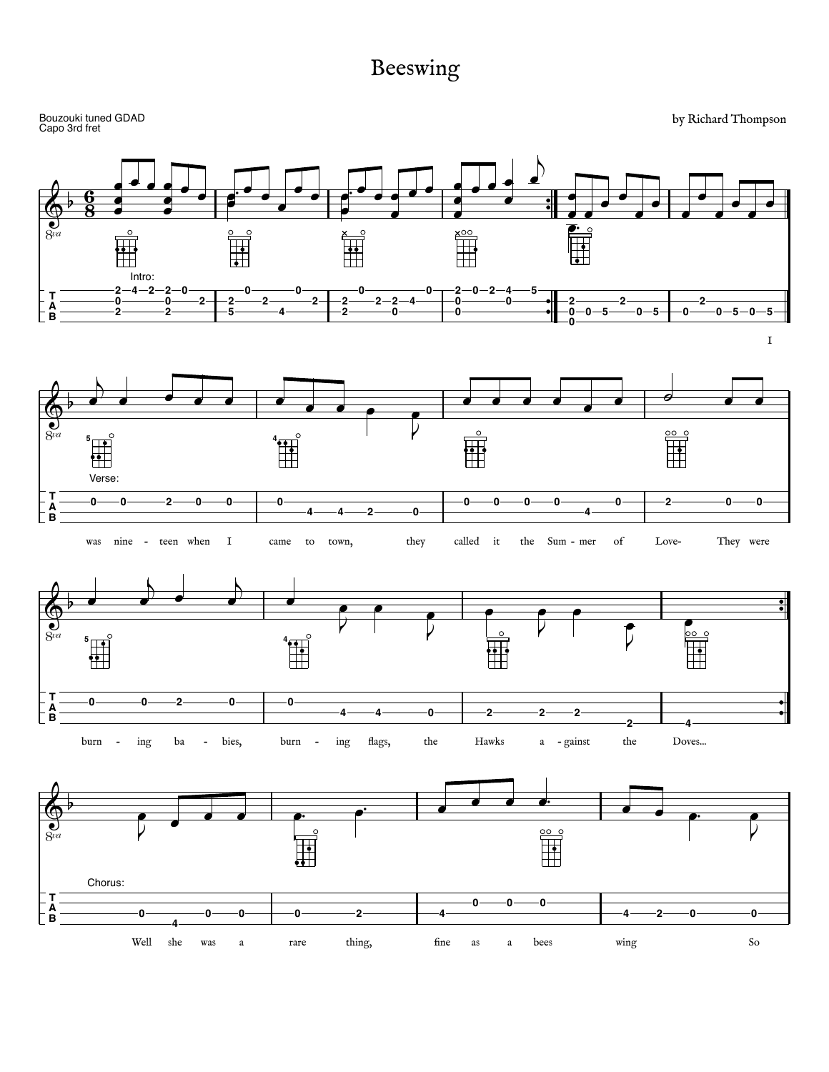## Beeswing

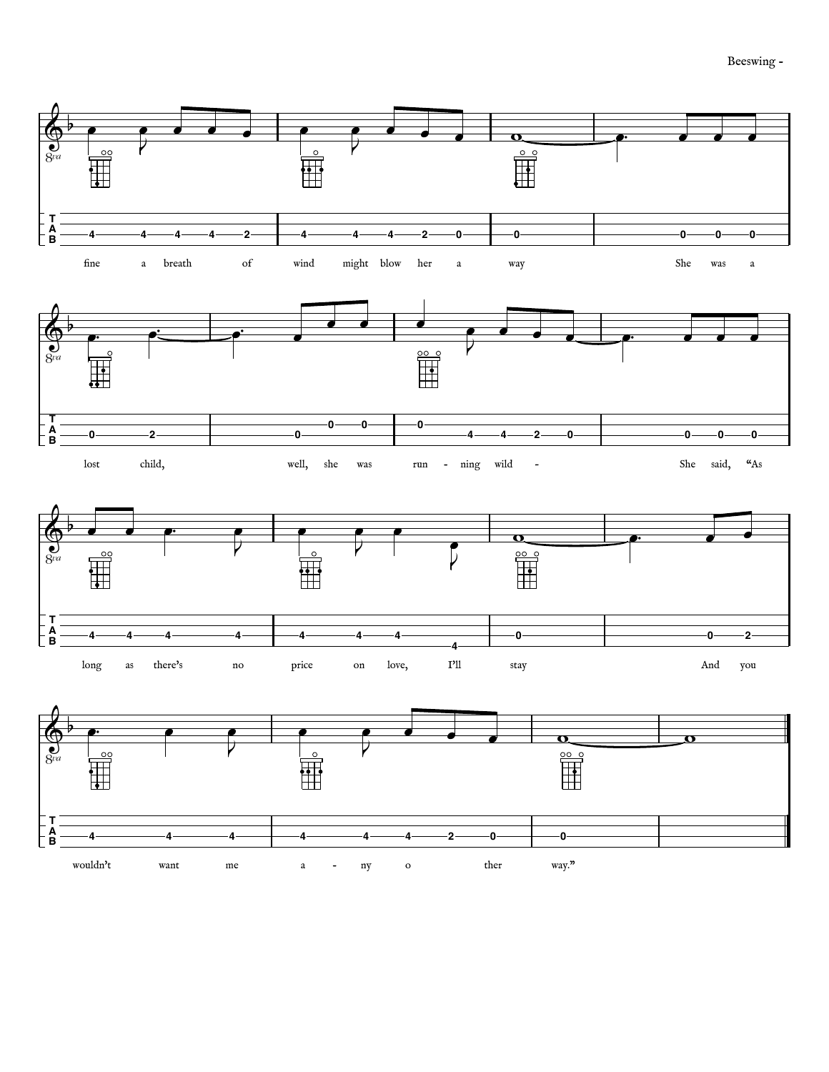